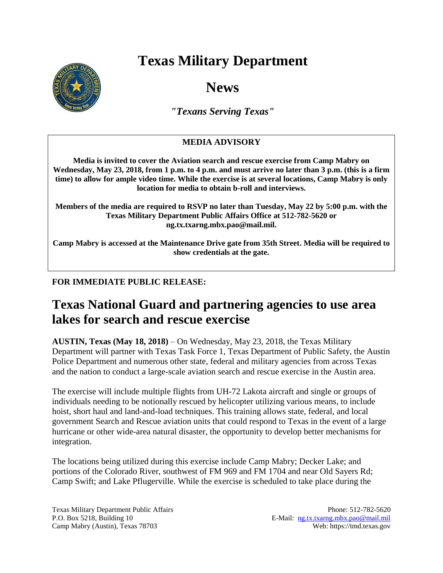## **Texas Military Department**



**News**

*"Texans Serving Texas"*

## **MEDIA ADVISORY**

**Media is invited to cover the Aviation search and rescue exercise from Camp Mabry on Wednesday, May 23, 2018, from 1 p.m. to 4 p.m. and must arrive no later than 3 p.m. (this is a firm time) to allow for ample video time. While the exercise is at several locations, Camp Mabry is only location for media to obtain b-roll and interviews.**

**Members of the media are required to RSVP no later than Tuesday, May 22 by 5:00 p.m. with the Texas Military Department Public Affairs Office at 512-782-5620 or ng.tx.txarng.mbx.pao@mail.mil.**

**Camp Mabry is accessed at the Maintenance Drive gate from 35th Street. Media will be required to show credentials at the gate.**

## **FOR IMMEDIATE PUBLIC RELEASE:**

## **Texas National Guard and partnering agencies to use area lakes for search and rescue exercise**

**AUSTIN, Texas (May 18, 2018)** – On Wednesday, May 23, 2018, the Texas Military Department will partner with Texas Task Force 1, Texas Department of Public Safety, the Austin Police Department and numerous other state, federal and military agencies from across Texas and the nation to conduct a large-scale aviation search and rescue exercise in the Austin area.

The exercise will include multiple flights from UH-72 Lakota aircraft and single or groups of individuals needing to be notionally rescued by helicopter utilizing various means, to include hoist, short haul and land-and-load techniques. This training allows state, federal, and local government Search and Rescue aviation units that could respond to Texas in the event of a large hurricane or other wide-area natural disaster, the opportunity to develop better mechanisms for integration.

The locations being utilized during this exercise include Camp Mabry; Decker Lake; and portions of the Colorado River, southwest of FM 969 and FM 1704 and near Old Sayers Rd; Camp Swift; and Lake Pflugerville. While the exercise is scheduled to take place during the

Texas Military Department Public Affairs Phone: 512-782-5620 P.O. Box 5218, Building 10 E-Mail: [ng.tx.txarng.mbx.pao@mail.mil](mailto:ng.tx.txarng.mbx.pao@mail.mil) Camp Mabry (Austin), Texas 78703 Web: https://tmd.texas.gov